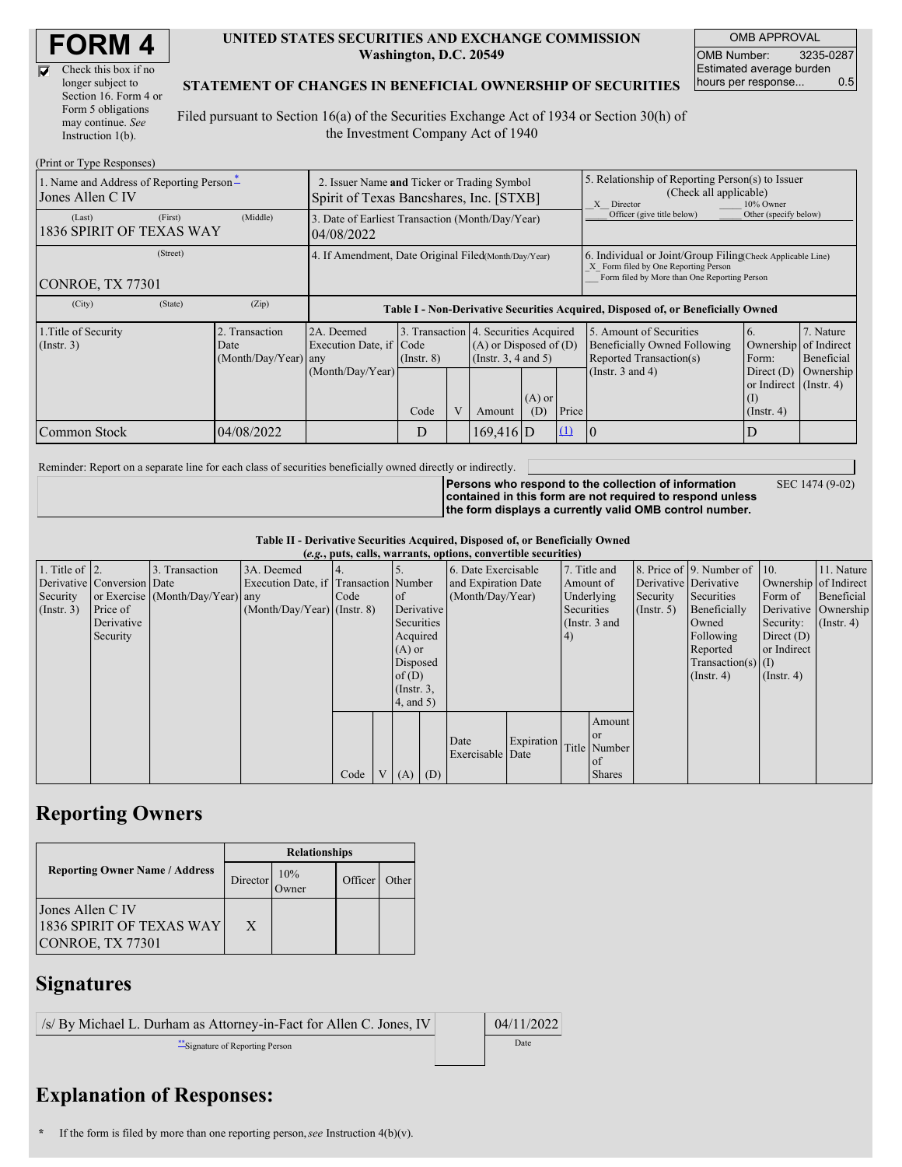D

| Check this box if no  |
|-----------------------|
| longer subject to     |
| Section 16. Form 4 or |
| Form 5 obligations    |
| may continue. See     |
| Instruction 1(b).     |

#### **UNITED STATES SECURITIES AND EXCHANGE COMMISSION Washington, D.C. 20549**

OMB APPROVAL OMB Number: 3235-0287 Estimated average burden hours per response... 0.5

### **STATEMENT OF CHANGES IN BENEFICIAL OWNERSHIP OF SECURITIES**

Filed pursuant to Section 16(a) of the Securities Exchange Act of 1934 or Section 30(h) of the Investment Company Act of 1940

| (Print or Type Responses)                                    |                                                                                        |                                                                                  |                 |   |                                                                                                 |                 |                                                                                                                                                    |                                                                                    |                                                                  |                                        |  |
|--------------------------------------------------------------|----------------------------------------------------------------------------------------|----------------------------------------------------------------------------------|-----------------|---|-------------------------------------------------------------------------------------------------|-----------------|----------------------------------------------------------------------------------------------------------------------------------------------------|------------------------------------------------------------------------------------|------------------------------------------------------------------|----------------------------------------|--|
| 1. Name and Address of Reporting Person-<br>Jones Allen C IV | 2. Issuer Name and Ticker or Trading Symbol<br>Spirit of Texas Bancshares, Inc. [STXB] |                                                                                  |                 |   |                                                                                                 |                 | 5. Relationship of Reporting Person(s) to Issuer<br>(Check all applicable)<br>10% Owner<br>X Director                                              |                                                                                    |                                                                  |                                        |  |
| (First)<br>(Last)<br>1836 SPIRIT OF TEXAS WAY                | 3. Date of Earliest Transaction (Month/Day/Year)<br>04/08/2022                         |                                                                                  |                 |   |                                                                                                 |                 | Officer (give title below)                                                                                                                         | Other (specify below)                                                              |                                                                  |                                        |  |
| (Street)<br>CONROE, TX 77301                                 | 4. If Amendment, Date Original Filed Month/Day/Year)                                   |                                                                                  |                 |   |                                                                                                 |                 | 6. Individual or Joint/Group Filing Check Applicable Line)<br>X Form filed by One Reporting Person<br>Form filed by More than One Reporting Person |                                                                                    |                                                                  |                                        |  |
| (City)<br>(State)                                            | (Zip)                                                                                  | Table I - Non-Derivative Securities Acquired, Disposed of, or Beneficially Owned |                 |   |                                                                                                 |                 |                                                                                                                                                    |                                                                                    |                                                                  |                                        |  |
| 1. Title of Security<br>$($ Instr. 3 $)$                     | 2. Transaction<br>Date<br>(Month/Day/Year) any                                         | 2A. Deemed<br>Execution Date, if Code                                            | $($ Instr. $8)$ |   | 3. Transaction 4. Securities Acquired<br>$(A)$ or Disposed of $(D)$<br>(Instr. $3, 4$ and $5$ ) |                 |                                                                                                                                                    | 5. Amount of Securities<br>Beneficially Owned Following<br>Reported Transaction(s) | 6.<br>Ownership<br>Form:                                         | 7. Nature<br>of Indirect<br>Beneficial |  |
|                                                              |                                                                                        | (Month/Day/Year)                                                                 | Code            | V | Amount                                                                                          | $(A)$ or<br>(D) | Price                                                                                                                                              | (Instr. $3$ and $4$ )                                                              | Direct $(D)$<br>or Indirect $($ Instr. 4 $)$<br>$($ Instr. 4 $)$ | Ownership                              |  |
| <b>Common Stock</b>                                          | 04/08/2022                                                                             |                                                                                  | D               |   | $169.416$ D                                                                                     |                 | $\Omega$                                                                                                                                           | 10                                                                                 |                                                                  |                                        |  |

Reminder: Report on a separate line for each class of securities beneficially owned directly or indirectly.

**Persons who respond to the collection of information contained in this form are not required to respond unless the form displays a currently valid OMB control number.** SEC 1474 (9-02)

**Table II - Derivative Securities Acquired, Disposed of, or Beneficially Owned**

| (e.g., puts, calls, warrants, options, convertible securities) |                            |                                  |                                       |      |  |                 |                  |                          |            |               |               |                  |                              |                       |                      |
|----------------------------------------------------------------|----------------------------|----------------------------------|---------------------------------------|------|--|-----------------|------------------|--------------------------|------------|---------------|---------------|------------------|------------------------------|-----------------------|----------------------|
| 1. Title of $\vert$ 2.                                         |                            | 3. Transaction                   | 3A. Deemed                            |      |  |                 |                  | 6. Date Exercisable      |            |               | 7. Title and  |                  | 8. Price of 9. Number of 10. |                       | 11. Nature           |
|                                                                | Derivative Conversion Date |                                  | Execution Date, if Transaction Number |      |  |                 |                  | and Expiration Date      |            | Amount of     |               |                  | Derivative Derivative        | Ownership of Indirect |                      |
| Security                                                       |                            | or Exercise (Month/Day/Year) any |                                       | Code |  | of              | (Month/Day/Year) |                          |            |               | Underlying    | Security         | Securities                   | Form of               | Beneficial           |
| $($ Instr. 3 $)$                                               | Price of                   |                                  | $(Month/Day/Year)$ (Instr. 8)         |      |  | Derivative      |                  |                          |            | Securities    |               | $($ Instr. 5 $)$ | Beneficially                 |                       | Derivative Ownership |
|                                                                | Derivative                 |                                  |                                       |      |  | Securities      |                  |                          |            | (Instr. 3 and |               |                  | Owned                        | Security:             | $($ Instr. 4 $)$     |
|                                                                | Security                   |                                  |                                       |      |  |                 | Acquired         |                          | 4)         |               |               | Following        | Direct $(D)$                 |                       |                      |
|                                                                |                            |                                  |                                       |      |  |                 | $(A)$ or         |                          |            |               |               |                  | Reported                     | or Indirect           |                      |
|                                                                |                            |                                  |                                       |      |  | Disposed        |                  |                          |            |               |               |                  | $Transaction(s)$ (I)         |                       |                      |
|                                                                |                            |                                  |                                       |      |  | of $(D)$        |                  |                          |            |               |               | $($ Instr. 4 $)$ | $($ Instr. 4 $)$             |                       |                      |
|                                                                |                            |                                  |                                       |      |  | $($ Instr. $3,$ |                  |                          |            |               |               |                  |                              |                       |                      |
|                                                                |                            |                                  |                                       |      |  | $4$ , and $5$ ) |                  |                          |            |               |               |                  |                              |                       |                      |
|                                                                |                            |                                  |                                       |      |  |                 |                  |                          |            |               | Amount        |                  |                              |                       |                      |
|                                                                |                            |                                  |                                       |      |  |                 |                  |                          |            |               | <sub>or</sub> |                  |                              |                       |                      |
|                                                                |                            |                                  |                                       |      |  |                 |                  | Date<br>Exercisable Date | Expiration |               | Title Number  |                  |                              |                       |                      |
|                                                                |                            |                                  |                                       |      |  |                 |                  |                          |            |               | of            |                  |                              |                       |                      |
|                                                                |                            |                                  |                                       | Code |  | V(A)            | (D)              |                          |            |               | <b>Shares</b> |                  |                              |                       |                      |

## **Reporting Owners**

|                                                                  | <b>Relationships</b> |     |         |       |  |  |  |
|------------------------------------------------------------------|----------------------|-----|---------|-------|--|--|--|
| <b>Reporting Owner Name / Address</b>                            | Director             | 10% | Officer | Other |  |  |  |
| Jones Allen C IV<br>1836 SPIRIT OF TEXAS WAY<br>CONROE, TX 77301 | X                    |     |         |       |  |  |  |

## **Signatures**

| /s/ By Michael L. Durham as Attorney-in-Fact for Allen C. Jones, IV | 04/11/2022 |
|---------------------------------------------------------------------|------------|
| Signature of Reporting Person                                       | Date       |

# **Explanation of Responses:**

**<sup>\*</sup>** If the form is filed by more than one reporting person,*see* Instruction 4(b)(v).